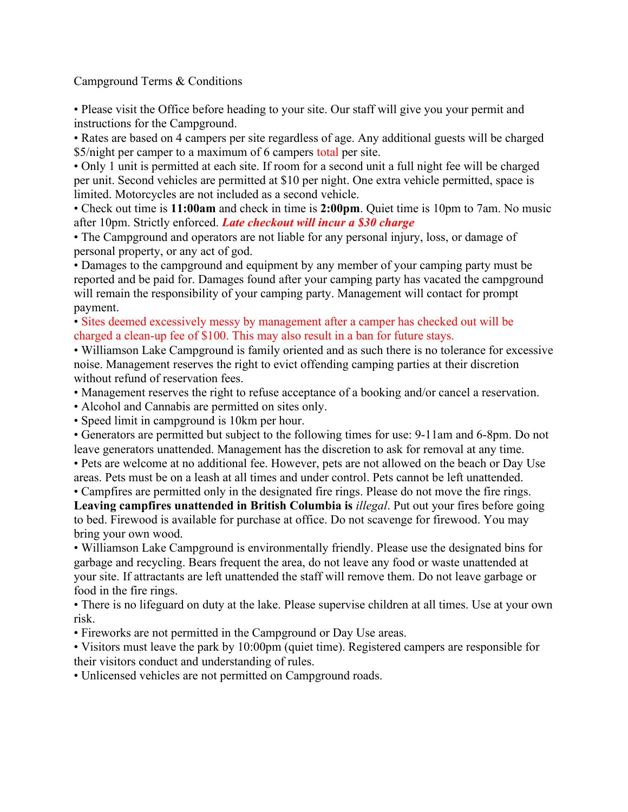Campground Terms & Conditions

• Please visit the Office before heading to your site. Our staff will give you your permit and instructions for the Campground.

• Rates are based on 4 campers per site regardless of age. Any additional guests will be charged \$5/night per camper to a maximum of 6 campers total per site.

• Only 1 unit is permitted at each site. If room for a second unit a full night fee will be charged per unit. Second vehicles are permitted at \$10 per night. One extra vehicle permitted, space is limited. Motorcycles are not included as a second vehicle.

• Check out time is **11:00am** and check in time is **2:00pm**. Quiet time is 10pm to 7am. No music after 10pm. Strictly enforced. *Late checkout will incur a \$30 charge*

• The Campground and operators are not liable for any personal injury, loss, or damage of personal property, or any act of god.

• Damages to the campground and equipment by any member of your camping party must be reported and be paid for. Damages found after your camping party has vacated the campground will remain the responsibility of your camping party. Management will contact for prompt payment.

• Sites deemed excessively messy by management after a camper has checked out will be charged a clean-up fee of \$100. This may also result in a ban for future stays.

• Williamson Lake Campground is family oriented and as such there is no tolerance for excessive noise. Management reserves the right to evict offending camping parties at their discretion without refund of reservation fees.

- Management reserves the right to refuse acceptance of a booking and/or cancel a reservation.
- Alcohol and Cannabis are permitted on sites only.

• Speed limit in campground is 10km per hour.

• Generators are permitted but subject to the following times for use: 9-11am and 6-8pm. Do not leave generators unattended. Management has the discretion to ask for removal at any time.

• Pets are welcome at no additional fee. However, pets are not allowed on the beach or Day Use areas. Pets must be on a leash at all times and under control. Pets cannot be left unattended.

• Campfires are permitted only in the designated fire rings. Please do not move the fire rings.

**Leaving campfires unattended in British Columbia is** *illegal*. Put out your fires before going to bed. Firewood is available for purchase at office. Do not scavenge for firewood. You may bring your own wood.

• Williamson Lake Campground is environmentally friendly. Please use the designated bins for garbage and recycling. Bears frequent the area, do not leave any food or waste unattended at your site. If attractants are left unattended the staff will remove them. Do not leave garbage or food in the fire rings.

• There is no lifeguard on duty at the lake. Please supervise children at all times. Use at your own risk.

• Fireworks are not permitted in the Campground or Day Use areas.

• Visitors must leave the park by 10:00pm (quiet time). Registered campers are responsible for their visitors conduct and understanding of rules.

• Unlicensed vehicles are not permitted on Campground roads.